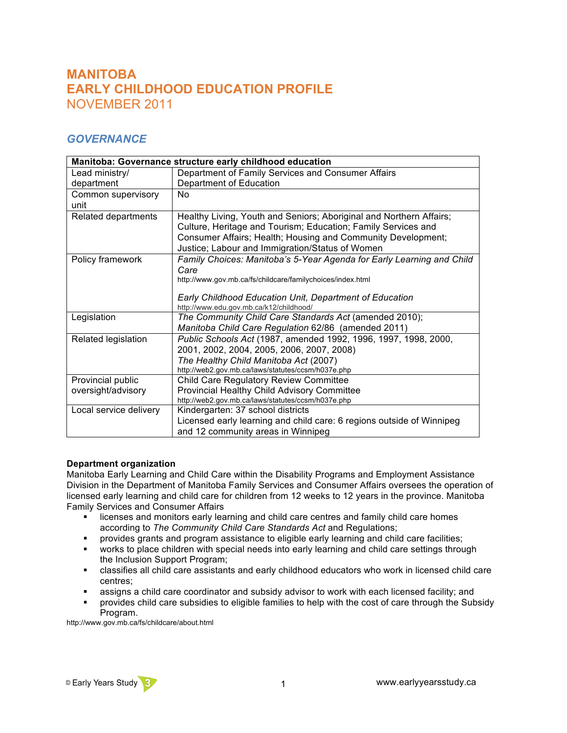# **MANITOBA EARLY CHILDHOOD EDUCATION PROFILE** NOVEMBER 2011

## *GOVERNANCE*

| Manitoba: Governance structure early childhood education |                                                                                                                                                                                                                                                         |  |
|----------------------------------------------------------|---------------------------------------------------------------------------------------------------------------------------------------------------------------------------------------------------------------------------------------------------------|--|
| Lead ministry/                                           | Department of Family Services and Consumer Affairs                                                                                                                                                                                                      |  |
| department                                               | Department of Education                                                                                                                                                                                                                                 |  |
| Common supervisory<br>unit                               | No.                                                                                                                                                                                                                                                     |  |
| Related departments                                      | Healthy Living, Youth and Seniors; Aboriginal and Northern Affairs;<br>Culture, Heritage and Tourism; Education; Family Services and<br>Consumer Affairs; Health; Housing and Community Development;<br>Justice; Labour and Immigration/Status of Women |  |
| Policy framework                                         | Family Choices: Manitoba's 5-Year Agenda for Early Learning and Child<br>Care<br>http://www.gov.mb.ca/fs/childcare/familychoices/index.html<br>Early Childhood Education Unit, Department of Education<br>http://www.edu.gov.mb.ca/k12/childhood/       |  |
| Legislation                                              | The Community Child Care Standards Act (amended 2010);<br>Manitoba Child Care Regulation 62/86 (amended 2011)                                                                                                                                           |  |
| Related legislation                                      | Public Schools Act (1987, amended 1992, 1996, 1997, 1998, 2000,<br>2001, 2002, 2004, 2005, 2006, 2007, 2008)<br>The Healthy Child Manitoba Act (2007)<br>http://web2.gov.mb.ca/laws/statutes/ccsm/h037e.php                                             |  |
| Provincial public<br>oversight/advisory                  | Child Care Regulatory Review Committee<br><b>Provincial Healthy Child Advisory Committee</b><br>http://web2.gov.mb.ca/laws/statutes/ccsm/h037e.php                                                                                                      |  |
| Local service delivery                                   | Kindergarten: 37 school districts<br>Licensed early learning and child care: 6 regions outside of Winnipeg<br>and 12 community areas in Winnipeg                                                                                                        |  |

### **Department organization**

Manitoba Early Learning and Child Care within the Disability Programs and Employment Assistance Division in the Department of Manitoba Family Services and Consumer Affairs oversees the operation of licensed early learning and child care for children from 12 weeks to 12 years in the province. Manitoba Family Services and Consumer Affairs

- ! licenses and monitors early learning and child care centres and family child care homes according to *The Community Child Care Standards Act* and Regulations;
- ! provides grants and program assistance to eligible early learning and child care facilities;
- ! works to place children with special needs into early learning and child care settings through the Inclusion Support Program;
- ! classifies all child care assistants and early childhood educators who work in licensed child care centres;
- assigns a child care coordinator and subsidy advisor to work with each licensed facility; and
- ! provides child care subsidies to eligible families to help with the cost of care through the Subsidy Program.

http://www.gov.mb.ca/fs/childcare/about.html

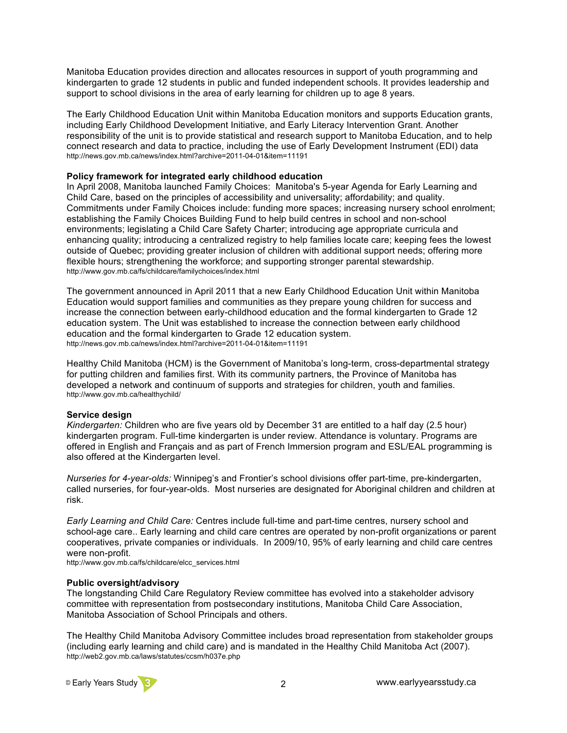Manitoba Education provides direction and allocates resources in support of youth programming and kindergarten to grade 12 students in public and funded independent schools. It provides leadership and support to school divisions in the area of early learning for children up to age 8 years.

The Early Childhood Education Unit within Manitoba Education monitors and supports Education grants, including Early Childhood Development Initiative, and Early Literacy Intervention Grant. Another responsibility of the unit is to provide statistical and research support to Manitoba Education, and to help connect research and data to practice, including the use of Early Development Instrument (EDI) data http://news.gov.mb.ca/news/index.html?archive=2011-04-01&item=11191

#### **Policy framework for integrated early childhood education**

In April 2008, Manitoba launched Family Choices: Manitoba's 5-year Agenda for Early Learning and Child Care, based on the principles of accessibility and universality; affordability; and quality. Commitments under Family Choices include: funding more spaces; increasing nursery school enrolment; establishing the Family Choices Building Fund to help build centres in school and non-school environments; legislating a Child Care Safety Charter; introducing age appropriate curricula and enhancing quality; introducing a centralized registry to help families locate care; keeping fees the lowest outside of Quebec; providing greater inclusion of children with additional support needs; offering more flexible hours; strengthening the workforce; and supporting stronger parental stewardship. http://www.gov.mb.ca/fs/childcare/familychoices/index.html

The government announced in April 2011 that a new Early Childhood Education Unit within Manitoba Education would support families and communities as they prepare young children for success and increase the connection between early-childhood education and the formal kindergarten to Grade 12 education system. The Unit was established to increase the connection between early childhood education and the formal kindergarten to Grade 12 education system. http://news.gov.mb.ca/news/index.html?archive=2011-04-01&item=11191

Healthy Child Manitoba (HCM) is the Government of Manitoba's long-term, cross-departmental strategy for putting children and families first. With its community partners, the Province of Manitoba has developed a network and continuum of supports and strategies for children, youth and families. http://www.gov.mb.ca/healthychild/

#### **Service design**

*Kindergarten:* Children who are five years old by December 31 are entitled to a half day (2.5 hour) kindergarten program. Full-time kindergarten is under review. Attendance is voluntary. Programs are offered in English and Français and as part of French Immersion program and ESL/EAL programming is also offered at the Kindergarten level.

*Nurseries for 4-year-olds:* Winnipeg's and Frontier's school divisions offer part-time, pre-kindergarten, called nurseries, for four-year-olds. Most nurseries are designated for Aboriginal children and children at risk.

*Early Learning and Child Care:* Centres include full-time and part-time centres, nursery school and school-age care.. Early learning and child care centres are operated by non-profit organizations or parent cooperatives, private companies or individuals. In 2009/10, 95% of early learning and child care centres were non-profit.

http://www.gov.mb.ca/fs/childcare/elcc\_services.html

#### **Public oversight/advisory**

The longstanding Child Care Regulatory Review committee has evolved into a stakeholder advisory committee with representation from postsecondary institutions, Manitoba Child Care Association, Manitoba Association of School Principals and others.

The Healthy Child Manitoba Advisory Committee includes broad representation from stakeholder groups (including early learning and child care) and is mandated in the Healthy Child Manitoba Act (2007). http://web2.gov.mb.ca/laws/statutes/ccsm/h037e.php

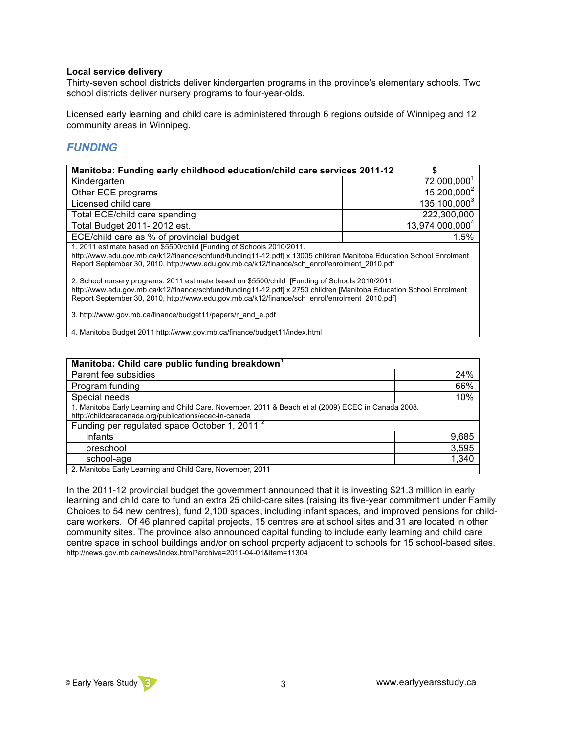#### **Local service delivery**

Thirty-seven school districts deliver kindergarten programs in the province's elementary schools. Two school districts deliver nursery programs to four-year-olds.

Licensed early learning and child care is administered through 6 regions outside of Winnipeg and 12 community areas in Winnipeg.

## *FUNDING*

| Manitoba: Funding early childhood education/child care services 2011-12                                             |                             |  |
|---------------------------------------------------------------------------------------------------------------------|-----------------------------|--|
| Kindergarten                                                                                                        | 72,000,000                  |  |
| Other ECE programs                                                                                                  | $15,200,000^{2}$            |  |
| Licensed child care                                                                                                 | $135, 100, 000^{3}$         |  |
| Total ECE/child care spending                                                                                       | 222,300,000                 |  |
| Total Budget 2011-2012 est.                                                                                         | 13,974,000,000 <sup>4</sup> |  |
| ECE/child care as % of provincial budget                                                                            | 1.5%                        |  |
| 1. 2011 estimate based on \$5500/child [Funding of Schools 2010/2011.                                               |                             |  |
| http://www.edu.gov.mb.ca/k12/finance/schfund/funding11-12.pdf  x 13005 children Manitoba Education School Enrolment |                             |  |
| Report September 30, 2010, http://www.edu.gov.mb.ca/k12/finance/sch_enrol/enrolment_2010.pdf                        |                             |  |

2. School nursery programs. 2011 estimate based on \$5500/child [Funding of Schools 2010/2011. http://www.edu.gov.mb.ca/k12/finance/schfund/funding11-12.pdf] x 2750 children [Manitoba Education School Enrolment

Report September 30, 2010, http://www.edu.gov.mb.ca/k12/finance/sch\_enrol/enrolment\_2010.pdf]

3. http://www.gov.mb.ca/finance/budget11/papers/r\_and\_e.pdf

4. Manitoba Budget 2011 http://www.gov.mb.ca/finance/budget11/index.html

| Manitoba: Child care public funding breakdown <sup>1</sup>                                                                                                    |       |
|---------------------------------------------------------------------------------------------------------------------------------------------------------------|-------|
| Parent fee subsidies                                                                                                                                          | 24%   |
| Program funding                                                                                                                                               | 66%   |
| Special needs                                                                                                                                                 | 10%   |
| 1. Manitoba Early Learning and Child Care, November, 2011 & Beach et al (2009) ECEC in Canada 2008.<br>http://childcarecanada.org/publications/ecec-in-canada |       |
| Funding per regulated space October 1, 2011 <sup>2</sup>                                                                                                      |       |
| infants                                                                                                                                                       | 9,685 |
| preschool                                                                                                                                                     | 3,595 |
| school-age                                                                                                                                                    | 1,340 |
| 2. Manitoba Early Learning and Child Care, November, 2011                                                                                                     |       |

In the 2011-12 provincial budget the government announced that it is investing \$21.3 million in early learning and child care to fund an extra 25 child-care sites (raising its five-year commitment under Family Choices to 54 new centres), fund 2,100 spaces, including infant spaces, and improved pensions for childcare workers. Of 46 planned capital projects, 15 centres are at school sites and 31 are located in other community sites. The province also announced capital funding to include early learning and child care centre space in school buildings and/or on school property adjacent to schools for 15 school-based sites. http://news.gov.mb.ca/news/index.html?archive=2011-04-01&item=11304

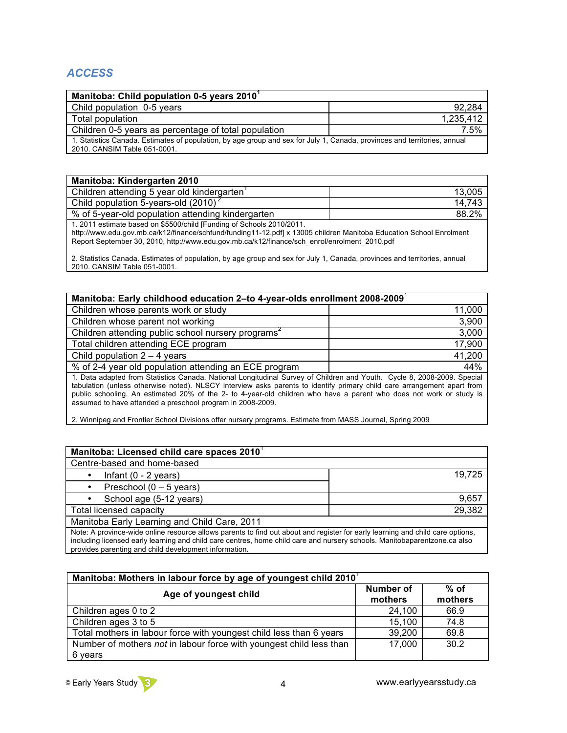## *ACCESS*

| Manitoba: Child population 0-5 years 2010 <sup>1</sup>                                                                                                    |           |
|-----------------------------------------------------------------------------------------------------------------------------------------------------------|-----------|
| Child population 0-5 years                                                                                                                                | 92.284    |
| Total population                                                                                                                                          | 1.235.412 |
| Children 0-5 years as percentage of total population                                                                                                      | 7.5%      |
| 1. Statistics Canada. Estimates of population, by age group and sex for July 1, Canada, provinces and territories, annual<br>2010. CANSIM Table 051-0001. |           |

| <b>Manitoba: Kindergarten 2010</b>                                                                                  |        |
|---------------------------------------------------------------------------------------------------------------------|--------|
| Children attending 5 year old kindergarten                                                                          | 13,005 |
| Child population 5-years-old (2010) <sup>2</sup>                                                                    | 14,743 |
| % of 5-year-old population attending kindergarten                                                                   | 88.2%  |
| 1. 2011 estimate based on \$5500/child [Funding of Schools 2010/2011.                                               |        |
| http://www.edu.gov.mb.ca/k12/finance/schfund/funding11-12.pdf] x 13005 children Manitoba Education School Enrolment |        |

Report September 30, 2010, http://www.edu.gov.mb.ca/k12/finance/sch\_enrol/enrolment\_2010.pdf

2. Statistics Canada. Estimates of population, by age group and sex for July 1, Canada, provinces and territories, annual 2010. CANSIM Table 051-0001.

| Manitoba: Early childhood education 2-to 4-year-olds enrollment 2008-2009                                                                                                                                                                                                                                                                                                                                                               |        |  |
|-----------------------------------------------------------------------------------------------------------------------------------------------------------------------------------------------------------------------------------------------------------------------------------------------------------------------------------------------------------------------------------------------------------------------------------------|--------|--|
| Children whose parents work or study                                                                                                                                                                                                                                                                                                                                                                                                    | 11,000 |  |
| Children whose parent not working                                                                                                                                                                                                                                                                                                                                                                                                       | 3,900  |  |
| Children attending public school nursery programs <sup>2</sup>                                                                                                                                                                                                                                                                                                                                                                          | 3,000  |  |
| Total children attending ECE program                                                                                                                                                                                                                                                                                                                                                                                                    | 17,900 |  |
| Child population $2 - 4$ years                                                                                                                                                                                                                                                                                                                                                                                                          | 41,200 |  |
| % of 2-4 year old population attending an ECE program                                                                                                                                                                                                                                                                                                                                                                                   | 44%    |  |
| 1. Data adapted from Statistics Canada. National Longitudinal Survey of Children and Youth. Cycle 8, 2008-2009. Special<br>tabulation (unless otherwise noted). NLSCY interview asks parents to identify primary child care arrangement apart from<br>public schooling. An estimated 20% of the 2- to 4-year-old children who have a parent who does not work or study is<br>assumed to have attended a preschool program in 2008-2009. |        |  |
| 2. Winnipeg and Frontier School Divisions offer nursery programs. Estimate from MASS Journal, Spring 2009                                                                                                                                                                                                                                                                                                                               |        |  |

| Manitoba: Licensed child care spaces 2010                                                                                      |        |
|--------------------------------------------------------------------------------------------------------------------------------|--------|
| Centre-based and home-based                                                                                                    |        |
| Infant $(0 - 2$ years)<br>٠                                                                                                    | 19.725 |
| Preschool $(0 - 5$ years)<br>٠                                                                                                 |        |
| School age (5-12 years)                                                                                                        | 9.657  |
| Total licensed capacity                                                                                                        | 29,382 |
| Manitoba Early Learning and Child Care, 2011                                                                                   |        |
| Note: A province-wide online resource allows parents to find out about and register for early learning and child care options, |        |

including licensed early learning and child care centres, home child care and nursery schools. Manitobaparentzone.ca also provides parenting and child development information.

| Manitoba: Mothers in labour force by age of youngest child 2010     |                      |                   |
|---------------------------------------------------------------------|----------------------|-------------------|
| Age of youngest child                                               | Number of<br>mothers | $%$ of<br>mothers |
| Children ages 0 to 2                                                | 24,100               | 66.9              |
| Children ages 3 to 5                                                | 15,100               | 74.8              |
| Total mothers in labour force with youngest child less than 6 years | 39,200               | 69.8              |
| Number of mothers not in labour force with youngest child less than | 17,000               | 30.2              |
| 6 years                                                             |                      |                   |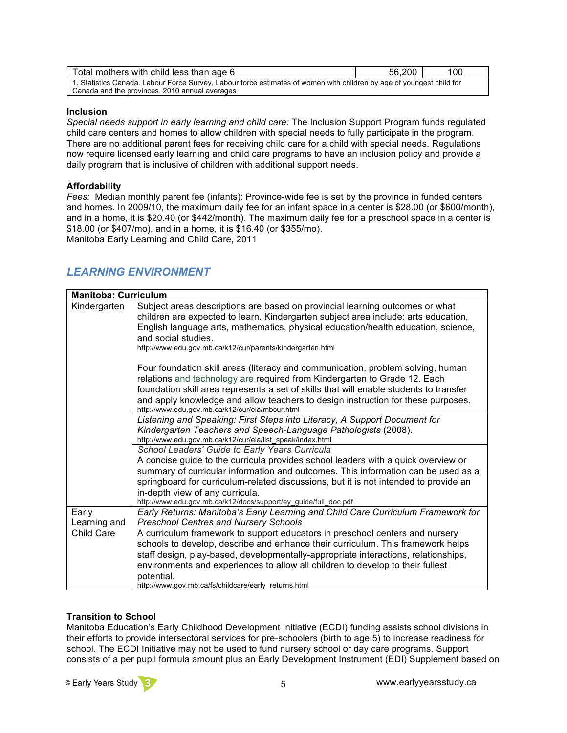| Total mothers with child less than age 6                                                                                                                                | 56,200 | 100 |
|-------------------------------------------------------------------------------------------------------------------------------------------------------------------------|--------|-----|
| 1. Statistics Canada. Labour Force Survey, Labour force estimates of women with children by age of youngest child for<br>Canada and the provinces. 2010 annual averages |        |     |

### **Inclusion**

*Special needs support in early learning and child care:* The Inclusion Support Program funds regulated child care centers and homes to allow children with special needs to fully participate in the program. There are no additional parent fees for receiving child care for a child with special needs. Regulations now require licensed early learning and child care programs to have an inclusion policy and provide a daily program that is inclusive of children with additional support needs.

### **Affordability**

*Fees:* Median monthly parent fee (infants): Province-wide fee is set by the province in funded centers and homes. In 2009/10, the maximum daily fee for an infant space in a center is \$28.00 (or \$600/month), and in a home, it is \$20.40 (or \$442/month). The maximum daily fee for a preschool space in a center is \$18.00 (or \$407/mo), and in a home, it is \$16.40 (or \$355/mo). Manitoba Early Learning and Child Care, 2011

## *LEARNING ENVIRONMENT*

| <b>Manitoba: Curriculum</b> |                                                                                                                                                                                                                                                                                                                                                                                                                        |
|-----------------------------|------------------------------------------------------------------------------------------------------------------------------------------------------------------------------------------------------------------------------------------------------------------------------------------------------------------------------------------------------------------------------------------------------------------------|
| Kindergarten                | Subject areas descriptions are based on provincial learning outcomes or what<br>children are expected to learn. Kindergarten subject area include: arts education,<br>English language arts, mathematics, physical education/health education, science,<br>and social studies.<br>http://www.edu.gov.mb.ca/k12/cur/parents/kindergarten.html                                                                           |
|                             | Four foundation skill areas (literacy and communication, problem solving, human<br>relations and technology are required from Kindergarten to Grade 12. Each<br>foundation skill area represents a set of skills that will enable students to transfer<br>and apply knowledge and allow teachers to design instruction for these purposes.<br>http://www.edu.gov.mb.ca/k12/cur/ela/mbcur.html                          |
|                             | Listening and Speaking: First Steps into Literacy, A Support Document for<br>Kindergarten Teachers and Speech-Language Pathologists (2008).<br>http://www.edu.gov.mb.ca/k12/cur/ela/list_speak/index.html                                                                                                                                                                                                              |
|                             | School Leaders' Guide to Early Years Curricula<br>A concise guide to the curricula provides school leaders with a quick overview or<br>summary of curricular information and outcomes. This information can be used as a<br>springboard for curriculum-related discussions, but it is not intended to provide an<br>in-depth view of any curricula.<br>http://www.edu.gov.mb.ca/k12/docs/support/ey_guide/full_doc.pdf |
| Early<br>Learning and       | Early Returns: Manitoba's Early Learning and Child Care Curriculum Framework for<br><b>Preschool Centres and Nursery Schools</b>                                                                                                                                                                                                                                                                                       |
| Child Care                  | A curriculum framework to support educators in preschool centers and nursery<br>schools to develop, describe and enhance their curriculum. This framework helps<br>staff design, play-based, developmentally-appropriate interactions, relationships,<br>environments and experiences to allow all children to develop to their fullest<br>potential.<br>http://www.gov.mb.ca/fs/childcare/early returns.html          |

### **Transition to School**

Manitoba Education's Early Childhood Development Initiative (ECDI) funding assists school divisions in their efforts to provide intersectoral services for pre-schoolers (birth to age 5) to increase readiness for school. The ECDI Initiative may not be used to fund nursery school or day care programs. Support consists of a per pupil formula amount plus an Early Development Instrument (EDI) Supplement based on

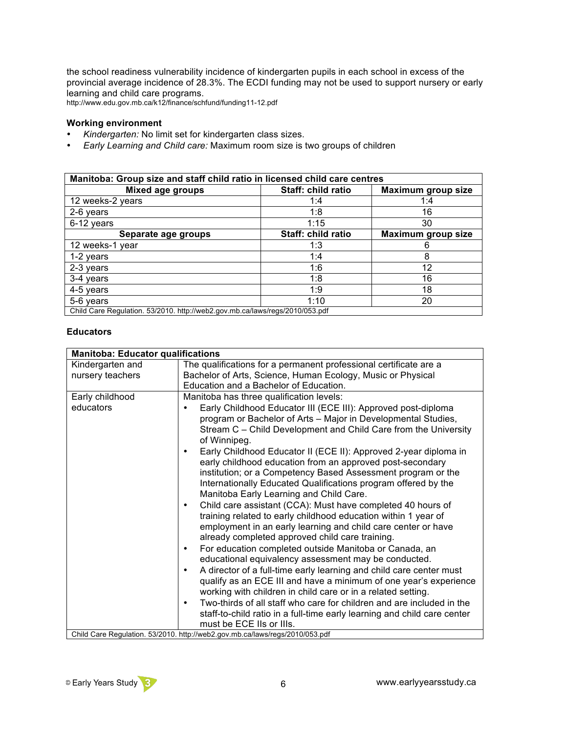the school readiness vulnerability incidence of kindergarten pupils in each school in excess of the provincial average incidence of 28.3%. The ECDI funding may not be used to support nursery or early learning and child care programs.

http://www.edu.gov.mb.ca/k12/finance/schfund/funding11-12.pdf

### **Working environment**

- *Kindergarten:* No limit set for kindergarten class sizes.<br>• Farly Learning and Child care: Maximum room size is to
- *Early Learning and Child care:* Maximum room size is two groups of children

| Manitoba: Group size and staff child ratio in licensed child care centres    |                    |                    |
|------------------------------------------------------------------------------|--------------------|--------------------|
| <b>Mixed age groups</b>                                                      | Staff: child ratio | Maximum group size |
| 12 weeks-2 years                                                             | 1:4                | 1:4                |
| 2-6 years                                                                    | 1:8                | 16                 |
| 6-12 years                                                                   | 1:15               | 30                 |
| Separate age groups                                                          | Staff: child ratio | Maximum group size |
| 12 weeks-1 year                                                              | 1:3                | 6                  |
| 1-2 years                                                                    | 1:4                | 8                  |
| 2-3 years                                                                    | 1:6                | 12                 |
| 3-4 years                                                                    | 1:8                | 16                 |
| 4-5 years                                                                    | 1:9                | 18                 |
| 5-6 years                                                                    | 1:10               | 20                 |
| Child Care Regulation. 53/2010. http://web2.gov.mb.ca/laws/regs/2010/053.pdf |                    |                    |

### **Educators**

| <b>Manitoba: Educator qualifications</b> |                                                                                                                                                                                                                                                                                                                         |  |
|------------------------------------------|-------------------------------------------------------------------------------------------------------------------------------------------------------------------------------------------------------------------------------------------------------------------------------------------------------------------------|--|
| Kindergarten and                         | The qualifications for a permanent professional certificate are a                                                                                                                                                                                                                                                       |  |
| nursery teachers                         | Bachelor of Arts, Science, Human Ecology, Music or Physical                                                                                                                                                                                                                                                             |  |
|                                          | Education and a Bachelor of Education.                                                                                                                                                                                                                                                                                  |  |
| Early childhood                          | Manitoba has three qualification levels:                                                                                                                                                                                                                                                                                |  |
| educators                                | Early Childhood Educator III (ECE III): Approved post-diploma<br>program or Bachelor of Arts - Major in Developmental Studies,<br>Stream C - Child Development and Child Care from the University<br>of Winnipeg.                                                                                                       |  |
|                                          | Early Childhood Educator II (ECE II): Approved 2-year diploma in<br>$\bullet$<br>early childhood education from an approved post-secondary<br>institution; or a Competency Based Assessment program or the<br>Internationally Educated Qualifications program offered by the<br>Manitoba Early Learning and Child Care. |  |
|                                          | Child care assistant (CCA): Must have completed 40 hours of<br>$\bullet$<br>training related to early childhood education within 1 year of<br>employment in an early learning and child care center or have<br>already completed approved child care training.                                                          |  |
|                                          | For education completed outside Manitoba or Canada, an<br>$\bullet$<br>educational equivalency assessment may be conducted.                                                                                                                                                                                             |  |
|                                          | A director of a full-time early learning and child care center must<br>$\bullet$<br>qualify as an ECE III and have a minimum of one year's experience<br>working with children in child care or in a related setting.                                                                                                   |  |
|                                          | Two-thirds of all staff who care for children and are included in the<br>$\bullet$<br>staff-to-child ratio in a full-time early learning and child care center<br>must be ECE IIs or IIIs.                                                                                                                              |  |
|                                          | Child Care Regulation. 53/2010. http://web2.gov.mb.ca/laws/regs/2010/053.pdf                                                                                                                                                                                                                                            |  |